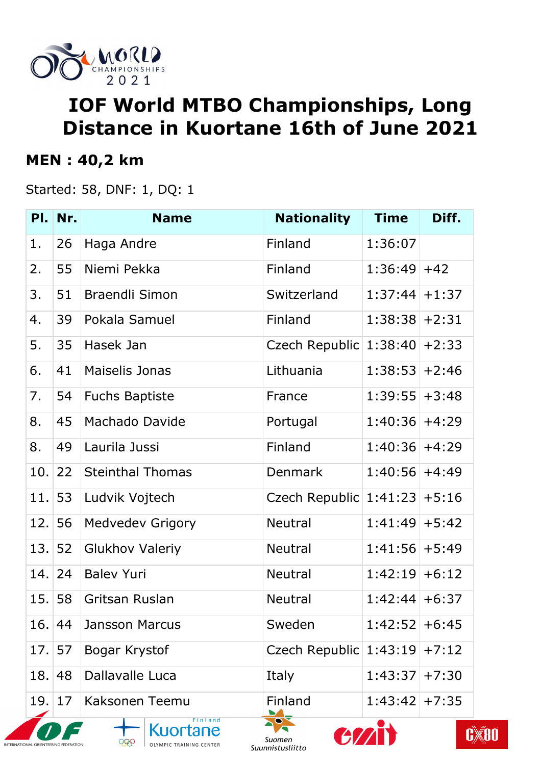

# **IOF World MTBO Championships, Long Distance in Kuortane 16th of June 2021**

#### **MEN : 40,2 km**

Started: 58, DNF: 1, DQ: 1

|                                | Pl. Nr. | <b>Name</b>                                                  | <b>Nationality</b>              | <b>Time</b>      | Diff. |
|--------------------------------|---------|--------------------------------------------------------------|---------------------------------|------------------|-------|
| 1.                             | 26      | Haga Andre                                                   | Finland                         | 1:36:07          |       |
| 2.                             | 55      | Niemi Pekka                                                  | Finland                         | $1:36:49$ +42    |       |
| 3.                             | 51      | <b>Braendli Simon</b>                                        | Switzerland                     | $1:37:44$ + 1:37 |       |
| 4.                             | 39      | Pokala Samuel                                                | Finland                         | $1:38:38$ + 2:31 |       |
| 5.                             | 35      | Hasek Jan                                                    | Czech Republic $1:38:40$ +2:33  |                  |       |
| 6.                             | 41      | <b>Maiselis Jonas</b>                                        | Lithuania                       | $1:38:53$ + 2:46 |       |
| 7.                             | 54      | <b>Fuchs Baptiste</b>                                        | France                          | $1:39:55$ + 3:48 |       |
| 8.                             | 45      | Machado Davide                                               | Portugal                        | $1:40:36$ +4:29  |       |
| 8.                             | 49      | Laurila Jussi                                                | Finland                         | $1:40:36$ +4:29  |       |
| 10.                            | 22      | <b>Steinthal Thomas</b>                                      | <b>Denmark</b>                  | $1:40:56$ +4:49  |       |
| 11.53                          |         | Ludvik Vojtech                                               | Czech Republic $1:41:23 + 5:16$ |                  |       |
| 12.56                          |         | <b>Medvedev Grigory</b>                                      | <b>Neutral</b>                  | $1:41:49$ + 5:42 |       |
| 13.                            | 52      | <b>Glukhov Valeriy</b>                                       | <b>Neutral</b>                  | $1:41:56$ +5:49  |       |
| 14.24                          |         | <b>Balev Yuri</b>                                            | <b>Neutral</b>                  | $1:42:19$ +6:12  |       |
| 15.58                          |         | Gritsan Ruslan                                               | <b>Neutral</b>                  | $1:42:44$ + 6:37 |       |
| 16.                            | 44      | <b>Jansson Marcus</b>                                        | Sweden                          | $1:42:52$ +6:45  |       |
| 17.57                          |         | Bogar Krystof                                                | Czech Republic $1:43:19$ +7:12  |                  |       |
| 18.                            | 48      | Dallavalle Luca                                              | Italy                           | $1:43:37$ + 7:30 |       |
| 19.                            | 17      | Kaksonen Teemu                                               | Finland                         | $1:43:42$ + 7:35 |       |
| <b>ERNATIONAL ORIENTEERING</b> |         | Finland<br><b>Kuortane</b><br>999<br>OLYMPIC TRAINING CENTER | Suomen                          |                  | C,    |

Suunnistusliitto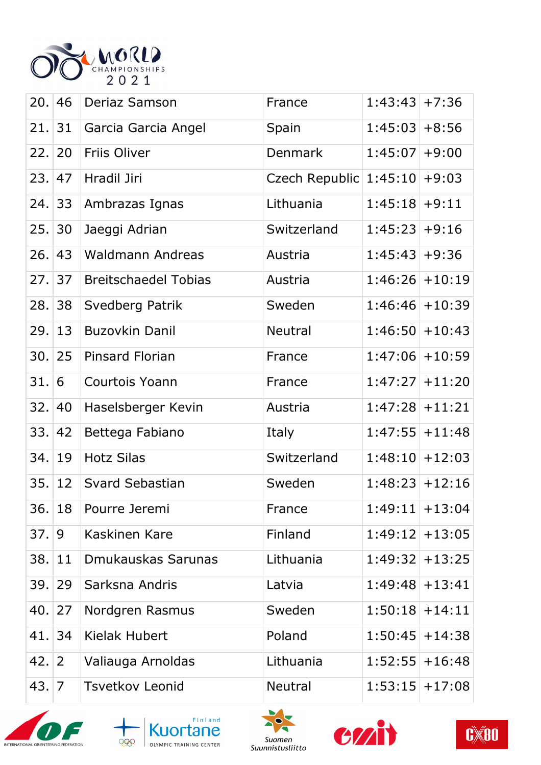

| 20.1     | 46             | Deriaz Samson               | France                         | $1:43:43$ + 7:36  |                   |
|----------|----------------|-----------------------------|--------------------------------|-------------------|-------------------|
| 21.31    |                | Garcia Garcia Angel         | Spain                          | $1:45:03+8:56$    |                   |
| 22.   20 |                | Friis Oliver                | <b>Denmark</b>                 | $1:45:07$ +9:00   |                   |
| 23.1     | 47             | Hradil Jiri                 | Czech Republic $1:45:10$ +9:03 |                   |                   |
| 24.33    |                | Ambrazas Ignas              | Lithuania                      | $1:45:18$ +9:11   |                   |
| 25.      | 30             | Jaeggi Adrian               | Switzerland                    | $1:45:23+9:16$    |                   |
| 26.      | 43             | <b>Waldmann Andreas</b>     | Austria                        | $1:45:43+9:36$    |                   |
| 27.137   |                | <b>Breitschaedel Tobias</b> | Austria                        | $1:46:26$ + 10:19 |                   |
| 28.      | 38             | Svedberg Patrik             | Sweden                         | $1:46:46$ + 10:39 |                   |
| 29.      | 13             | <b>Buzovkin Danil</b>       | <b>Neutral</b>                 | $1:46:50$ + 10:43 |                   |
| 30.125   |                | <b>Pinsard Florian</b>      | France                         | $1:47:06$ + 10:59 |                   |
| 31.      | 6              | Courtois Yoann              | France                         | $1:47:27$ + 11:20 |                   |
| 32.      | 40             | Haselsberger Kevin          | Austria                        | $1:47:28$ + 11:21 |                   |
| 33.  42  |                | Bettega Fabiano             | Italy                          | $1:47:55$ + 11:48 |                   |
| 34.19    |                | <b>Hotz Silas</b>           | Switzerland                    | $1:48:10$ + 12:03 |                   |
| 35.      | 12             | Svard Sebastian             | Sweden                         | $1:48:23+12:16$   |                   |
| 36.18    |                | Pourre Jeremi               | France                         | $1:49:11$ + 13:04 |                   |
| 37.9     |                | Kaskinen Kare               | Finland                        | $1:49:12$ + 13:05 |                   |
| 38.      | 11             | Dmukauskas Sarunas          | Lithuania                      | $1:49:32$ + 13:25 |                   |
| 39.      | 29             | Sarksna Andris              | Latvia                         |                   | $1:49:48$ + 13:41 |
| 40.      | 27             | Nordgren Rasmus             | Sweden                         | $1:50:18$ + 14:11 |                   |
| 41.      | 34             | Kielak Hubert               | Poland                         | $1:50:45$ + 14:38 |                   |
| 42.      | $\overline{2}$ | Valiauga Arnoldas           | Lithuania                      | $1:52:55$ + 16:48 |                   |
| 43.   7  |                | <b>Tsvetkov Leonid</b>      | <b>Neutral</b>                 | $1:53:15$ + 17:08 |                   |









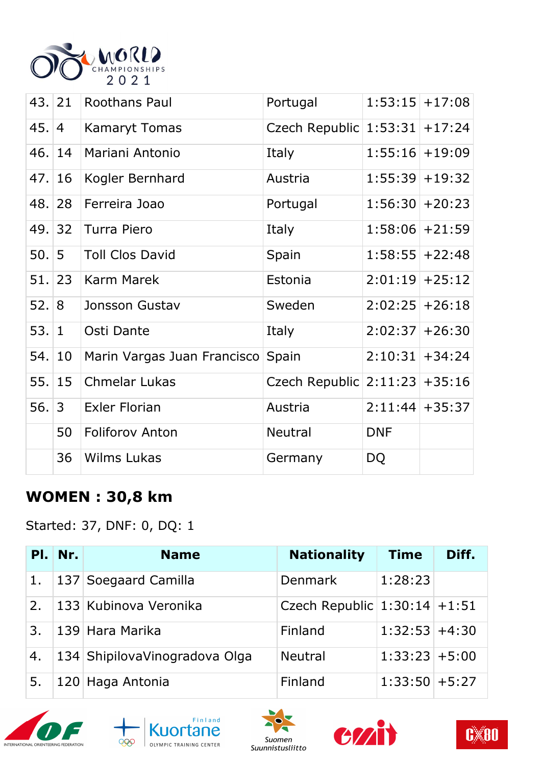

|          | 43. 21         | <b>Roothans Paul</b>              | Portugal                          | $1:53:15$ + 17:08 |  |
|----------|----------------|-----------------------------------|-----------------------------------|-------------------|--|
| 45.      | $\overline{4}$ | <b>Kamaryt Tomas</b>              | Czech Republic   1:53:31   +17:24 |                   |  |
| 46.  14  |                | Mariani Antonio                   | Italy                             | $1:55:16$ + 19:09 |  |
| 47.16    |                | Kogler Bernhard                   | Austria                           | $1:55:39$ + 19:32 |  |
| 48. 28   |                | Ferreira Joao                     | Portugal                          | $1:56:30$ + 20:23 |  |
| 49. 32   |                | Turra Piero                       | Italy                             | $1:58:06$ + 21:59 |  |
| 50.15    |                | <b>Toll Clos David</b>            | Spain                             | $1:58:55$ +22:48  |  |
| 51.   23 |                | Karm Marek                        | Estonia                           | $2:01:19$ + 25:12 |  |
| 52.8     |                | Jonsson Gustav                    | Sweden                            | $2:02:25$ +26:18  |  |
| 53.1     |                | Osti Dante                        | Italy                             | $2:02:37$ + 26:30 |  |
| 54.10    |                | Marin Vargas Juan Francisco Spain |                                   | $2:10:31$ + 34:24 |  |
| 55.15    |                | Chmelar Lukas                     | Czech Republic $2:11:23 + 35:16$  |                   |  |
| 56.3     |                | <b>Exler Florian</b>              | Austria                           | $2:11:44$ + 35:37 |  |
|          | 50             | <b>Foliforov Anton</b>            | <b>Neutral</b>                    | <b>DNF</b>        |  |
|          | 36             | <b>Wilms Lukas</b>                | Germany                           | DQ                |  |

## **WOMEN : 30,8 km**

Started: 37, DNF: 0, DQ: 1

| PI. | Nr. | <b>Name</b>                    | <b>Nationality</b>             | <b>Time</b>      | Diff. |
|-----|-----|--------------------------------|--------------------------------|------------------|-------|
| 1.  |     | 137 Soegaard Camilla           | <b>Denmark</b>                 | 1:28:23          |       |
| 2.  |     | 133 Kubinova Veronika          | Czech Republic $1:30:14$ +1:51 |                  |       |
| 3.  |     | 139 Hara Marika                | Finland                        | $1:32:53$ +4:30  |       |
| 4.  |     | 134 Shipilova Vinogradova Olga | <b>Neutral</b>                 | $1:33:23+5:00$   |       |
| 5.  |     | 120 Haga Antonia               | Finland                        | $1:33:50$ + 5:27 |       |









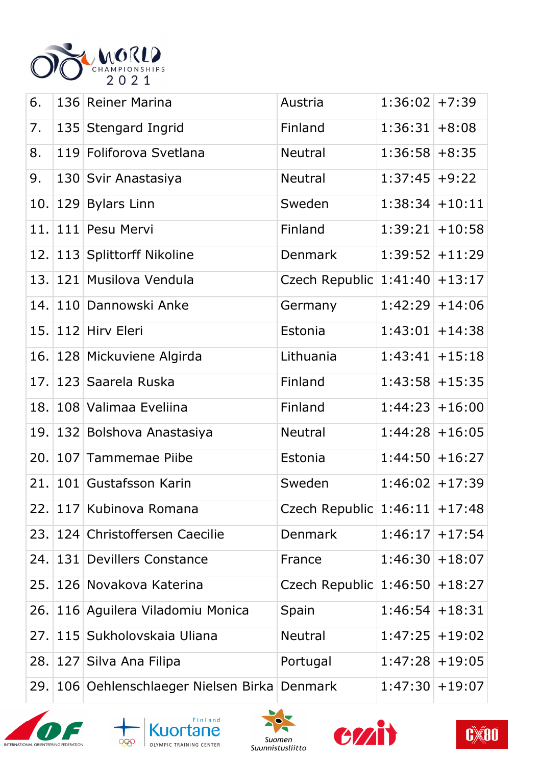

| 6.   |     | 136 Reiner Marina                         | Austria                          | $1:36:02$ +7:39   |                   |
|------|-----|-------------------------------------------|----------------------------------|-------------------|-------------------|
| 7.   |     | 135 Stengard Ingrid                       | Finland                          | 1:36:31           | $+8:08$           |
| 8.   |     | 119 Foliforova Svetlana                   | Neutral                          | $1:36:58$ +8:35   |                   |
| 9.   |     | 130 Svir Anastasiya                       | <b>Neutral</b>                   | $1:37:45$ +9:22   |                   |
| 10.  |     | 129 Bylars Linn                           | Sweden                           | 1:38:34           | $+10:11$          |
| 11.  |     | 111 Pesu Mervi                            | Finland                          | $1:39:21$ + 10:58 |                   |
|      |     | 12. 113 Splittorff Nikoline               | <b>Denmark</b>                   | $1:39:52$ + 11:29 |                   |
|      |     | 13. 121 Musilova Vendula                  | Czech Republic   1:41:40         |                   | $+13:17$          |
| 14.  |     | 110 Dannowski Anke                        | Germany                          | $1:42:29$ + 14:06 |                   |
| 15.  |     | 112 Hirv Eleri                            | Estonia                          | $1:43:01$ + 14:38 |                   |
|      |     | 16. 128 Mickuviene Algirda                | Lithuania                        | 1:43:41           | $+15:18$          |
| 17.  |     | 123 Saarela Ruska                         | Finland                          |                   | $1:43:58$ + 15:35 |
| 18.  |     | 108 Valimaa Eveliina                      | Finland                          | $1:44:23+16:00$   |                   |
| 19.  |     | 132 Bolshova Anastasiya                   | <b>Neutral</b>                   | 1:44:28           | $+16:05$          |
| 20.  |     | 107 Tammemae Piibe                        | Estonia                          |                   | $1:44:50$ + 16:27 |
| 21.  |     | 101 Gustafsson Karin                      | Sweden                           | $1:46:02$ +17:39  |                   |
|      |     | 22. 117 Kubinova Romana                   | Czech Republic $1:46:11 + 17:48$ |                   |                   |
| 23.  |     | 124 Christoffersen Caecilie               | <b>Denmark</b>                   | 1:46:17           | $+17:54$          |
| 24.1 | 131 | <b>Devillers Constance</b>                | France                           | 1:46:30           | $+18:07$          |
| 25.  |     | 126 Novakova Katerina                     | Czech Republic 1:46:50           |                   | $+18:27$          |
| 26.  |     | 116 Aguilera Viladomiu Monica             | Spain                            | 1:46:54           | $+18:31$          |
| 27.  |     | 115 Sukholovskaia Uliana                  | <b>Neutral</b>                   | $1:47:25$ + 19:02 |                   |
| 28.  |     | 127 Silva Ana Filipa                      | Portugal                         |                   | $1:47:28$ + 19:05 |
| 29.  |     | 106 Oehlenschlaeger Nielsen Birka Denmark |                                  | $1:47:30$ + 19:07 |                   |









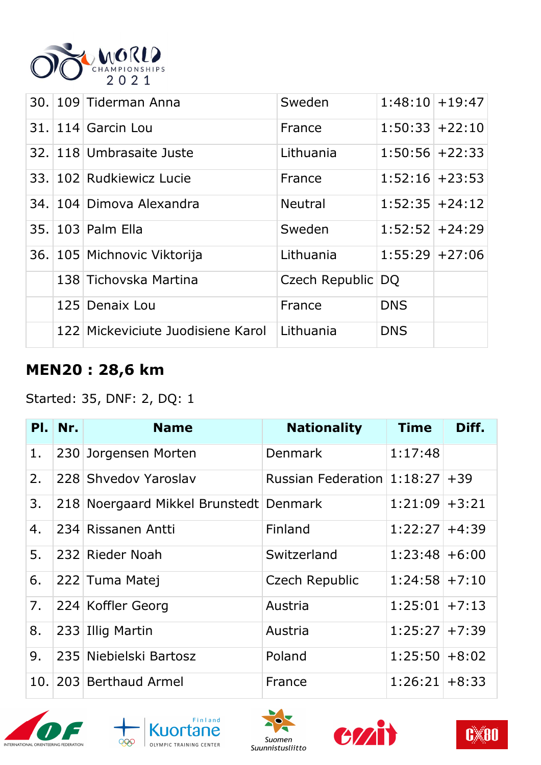

|  | 30. 109 Tiderman Anna             | Sweden            | $1:48:10$ + 19:47 |  |
|--|-----------------------------------|-------------------|-------------------|--|
|  | $31.114$ Garcin Lou               | France            | $1:50:33+22:10$   |  |
|  | 32. 118 Umbrasaite Juste          | Lithuania         | $1:50:56$ + 22:33 |  |
|  | 33. 102 Rudkiewicz Lucie          | France            | $1:52:16$ + 23:53 |  |
|  | 34. 104 Dimova Alexandra          | <b>Neutral</b>    | $1:52:35$ + 24:12 |  |
|  | 35. 103 Palm Ella                 | Sweden            | $1:52:52$ + 24:29 |  |
|  | 36. 105 Michnovic Viktorija       | Lithuania         | $1:55:29$ + 27:06 |  |
|  | 138 Tichovska Martina             | Czech Republic DQ |                   |  |
|  | 125 Denaix Lou                    | France            | <b>DNS</b>        |  |
|  | 122 Mickeviciute Juodisiene Karol | Lithuania         | <b>DNS</b>        |  |

### **MEN20 : 28,6 km**

#### Started: 35, DNF: 2, DQ: 1

|    | Pl. Nr. | <b>Name</b>                            | <b>Nationality</b>               | Time             | Diff. |
|----|---------|----------------------------------------|----------------------------------|------------------|-------|
| 1. |         | 230 Jorgensen Morten                   | <b>Denmark</b>                   | 1:17:48          |       |
| 2. |         | 228 Shyedov Yaroslav                   | Russian Federation $1:18:27$ +39 |                  |       |
| 3. |         | 218 Noergaard Mikkel Brunstedt Denmark |                                  | $1:21:09$ + 3:21 |       |
| 4. |         | 234 Rissanen Antti                     | Finland                          | $1:22:27$ +4:39  |       |
| 5. |         | 232 Rieder Noah                        | Switzerland                      | $1:23:48$ +6:00  |       |
| 6. |         | 222 Tuma Matej                         | Czech Republic                   | $1:24:58$ + 7:10 |       |
| 7. |         | 224 Koffler Georg                      | Austria                          | $1:25:01$ + 7:13 |       |
| 8. |         | 233 Illig Martin                       | Austria                          | $1:25:27$ + 7:39 |       |
| 9. |         | 235 Niebielski Bartosz                 | Poland                           | $1:25:50$ + 8:02 |       |
|    |         | 10. 203 Berthaud Armel                 | France                           | $1:26:21$ + 8:33 |       |









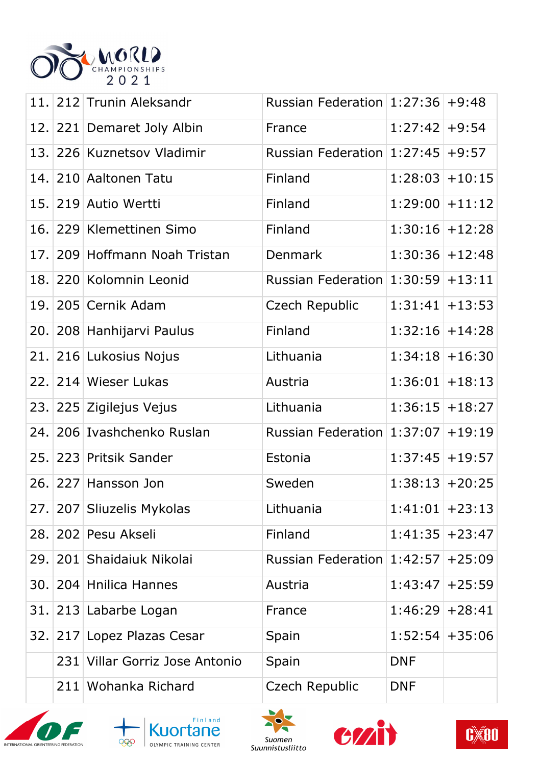

|      |     | 11. 212 Trunin Aleksandr       | Russian Federation $1:27:36$ +9:48   |                   |  |
|------|-----|--------------------------------|--------------------------------------|-------------------|--|
|      |     | 12. 221 Demaret Joly Albin     | France                               | $1:27:42$ +9:54   |  |
|      |     | 13. 226 Kuznetsov Vladimir     | Russian Federation $ 1:27:45 +9:57$  |                   |  |
|      |     | 14. 210 Aaltonen Tatu          | Finland                              | $1:28:03$ + 10:15 |  |
|      |     | 15. 219 Autio Wertti           | Finland                              | $1:29:00$ + 11:12 |  |
|      |     | 16. 229 Klemettinen Simo       | Finland                              | $1:30:16$ + 12:28 |  |
| 17.1 |     | 209 Hoffmann Noah Tristan      | Denmark                              | $1:30:36$ + 12:48 |  |
|      |     | 18. 220 Kolomnin Leonid        | Russian Federation $1:30:59$ + 13:11 |                   |  |
| 19.1 |     | 205 Cernik Adam                | Czech Republic                       | $1:31:41$ + 13:53 |  |
|      |     | 20. 208 Hanhijarvi Paulus      | Finland                              | $1:32:16$ + 14:28 |  |
|      |     | 21. 216 Lukosius Nojus         | Lithuania                            | $1:34:18$ + 16:30 |  |
| 22.1 |     | 214 Wieser Lukas               | Austria                              | $1:36:01$ + 18:13 |  |
|      |     | 23. 225 Zigilejus Vejus        | Lithuania                            | $1:36:15$ + 18:27 |  |
|      |     | 24. 206 Ivashchenko Ruslan     | Russian Federation $1:37:07$ + 19:19 |                   |  |
|      |     | 25. 223 Pritsik Sander         | Estonia                              | $1:37:45$ + 19:57 |  |
|      |     | 26. 227 Hansson Jon            | Sweden                               | $1:38:13$ + 20:25 |  |
|      |     | 27. 207 Sliuzelis Mykolas      | Lithuania                            | $1:41:01$ + 23:13 |  |
|      |     | 28. 202 Pesu Akseli            | Finland                              | $1:41:35$ + 23:47 |  |
|      |     | 29. 201 Shaidaiuk Nikolai      | Russian Federation $1:42:57$ +25:09  |                   |  |
|      |     | 30. 204 Hnilica Hannes         | Austria                              | $1:43:47$ + 25:59 |  |
|      |     | 31. 213 Labarbe Logan          | France                               | $1:46:29$ + 28:41 |  |
|      |     | 32. 217 Lopez Plazas Cesar     | Spain                                | $1:52:54$ + 35:06 |  |
|      |     | 231 Villar Gorriz Jose Antonio | Spain                                | <b>DNF</b>        |  |
|      | 211 | Wohanka Richard                | Czech Republic                       | <b>DNF</b>        |  |









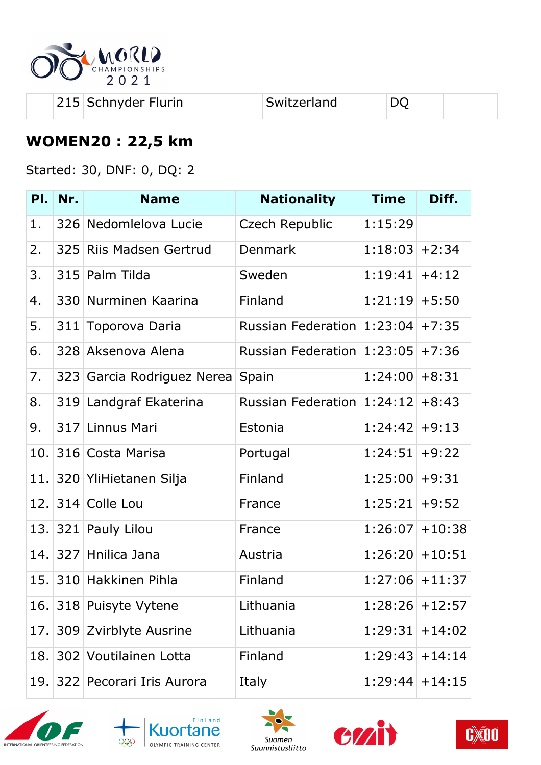

| 215 Schnyder Flurin | Switzerland | DQ |  |
|---------------------|-------------|----|--|
|---------------------|-------------|----|--|

## **WOMEN20 : 22,5 km**

Started: 30, DNF: 0, DQ: 2

| PI. | Nr. | <b>Name</b>              | <b>Nationality</b>                 | <b>Time</b>       | Diff.    |
|-----|-----|--------------------------|------------------------------------|-------------------|----------|
| 1.  |     | 326 Nedomlelova Lucie    | Czech Republic                     | 1:15:29           |          |
| 2.  |     | 325 Riis Madsen Gertrud  | <b>Denmark</b>                     | $1:18:03$ + 2:34  |          |
| 3.  | 315 | Palm Tilda               | Sweden                             | $1:19:41$ +4:12   |          |
| 4.  |     | 330 Nurminen Kaarina     | Finland                            | $1:21:19$ + 5:50  |          |
| 5.  | 311 | Toporova Daria           | Russian Federation $1:23:04$ +7:35 |                   |          |
| 6.  | 328 | Aksenova Alena           | Russian Federation $1:23:05$ +7:36 |                   |          |
| 7.  | 323 | Garcia Rodriguez Nerea   | Spain                              | $1:24:00+8:31$    |          |
| 8.  |     | 319 Landgraf Ekaterina   | Russian Federation $1:24:12$ +8:43 |                   |          |
| 9.  |     | 317 Linnus Mari          | Estonia                            | $1:24:42$ +9:13   |          |
| 10. |     | 316 Costa Marisa         | Portugal                           | $1:24:51$ +9:22   |          |
| 11. |     | 320 YliHietanen Silja    | Finland                            | $1:25:00$ +9:31   |          |
| 12. |     | 314 Colle Lou            | France                             | 1:25:21           | $+9:52$  |
| 13. |     | 321 Pauly Lilou          | France                             | $1:26:07$ + 10:38 |          |
| 14. |     | 327 Hnilica Jana         | Austria                            | $1:26:20$ + 10:51 |          |
| 15. |     | 310 Hakkinen Pihla       | Finland                            | $1:27:06$ + 11:37 |          |
|     |     | 16. 318 Puisyte Vytene   | Lithuania                          | $1:28:26$ + 12:57 |          |
| 17. |     | 309 Zvirblyte Ausrine    | Lithuania                          | 1:29:31           | $+14:02$ |
| 18. |     | 302 Voutilainen Lotta    | Finland                            | $1:29:43$ + 14:14 |          |
| 19. |     | 322 Pecorari Iris Aurora | Italy                              | $1:29:44$ + 14:15 |          |